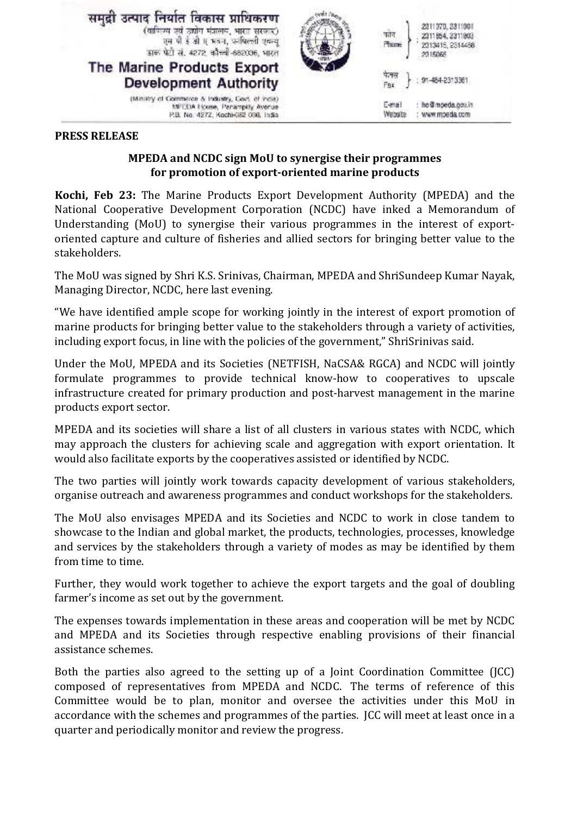

## **PRESS RELEASE**

## **MPEDA and NCDC sign MoU to synergise their programmes for promotion of export-oriented marine products**

**Kochi, Feb 23:** The Marine Products Export Development Authority (MPEDA) and the National Cooperative Development Corporation (NCDC) have inked a Memorandum of Understanding (MoU) to synergise their various programmes in the interest of exportoriented capture and culture of fisheries and allied sectors for bringing better value to the stakeholders.

The MoU was signed by Shri K.S. Srinivas, Chairman, MPEDA and ShriSundeep Kumar Nayak, Managing Director, NCDC, here last evening.

"We have identified ample scope for working jointly in the interest of export promotion of marine products for bringing better value to the stakeholders through a variety of activities, including export focus, in line with the policies of the government," ShriSrinivas said.

Under the MoU, MPEDA and its Societies (NETFISH, NaCSA& RGCA) and NCDC will jointly formulate programmes to provide technical know-how to cooperatives to upscale infrastructure created for primary production and post-harvest management in the marine products export sector.

MPEDA and its societies will share a list of all clusters in various states with NCDC, which may approach the clusters for achieving scale and aggregation with export orientation. It would also facilitate exports by the cooperatives assisted or identified by NCDC.

The two parties will jointly work towards capacity development of various stakeholders, organise outreach and awareness programmes and conduct workshops for the stakeholders.

The MoU also envisages MPEDA and its Societies and NCDC to work in close tandem to showcase to the Indian and global market, the products, technologies, processes, knowledge and services by the stakeholders through a variety of modes as may be identified by them from time to time.

Further, they would work together to achieve the export targets and the goal of doubling farmer's income as set out by the government.

The expenses towards implementation in these areas and cooperation will be met by NCDC and MPEDA and its Societies through respective enabling provisions of their financial assistance schemes.

Both the parties also agreed to the setting up of a Joint Coordination Committee (JCC) composed of representatives from MPEDA and NCDC. The terms of reference of this Committee would be to plan, monitor and oversee the activities under this MoU in accordance with the schemes and programmes of the parties. JCC will meet at least once in a quarter and periodically monitor and review the progress.